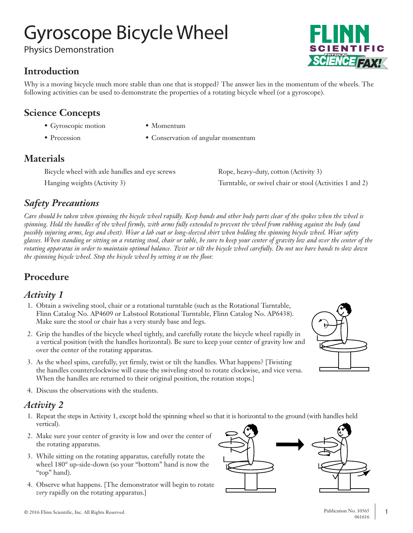# Gyroscope Bicycle Wheel

Physics Demonstration

### **Introduction**

Why is a moving bicycle much more stable than one that is stopped? The answer lies in the momentum of the wheels. The following activities can be used to demonstrate the properties of a rotating bicycle wheel (or a gyroscope).

### **Science Concepts**

- Gyroscopic motion Momentum
- 
- 
- Precession Conservation of angular momentum

### **Materials**

| Bicycle wheel with axle handles and eye screws | Rope, heavy-duty, cotton (Activity 3)                    |
|------------------------------------------------|----------------------------------------------------------|
| Hanging weights (Activity 3)                   | Turntable, or swivel chair or stool (Activities 1 and 2) |

## *Safety Precautions*

*Care should be taken when spinning the bicycle wheel rapidly. Keep hands and other body parts clear of the spokes when the wheel is spinning. Hold the handles of the wheel firmly, with arms fully extended to prevent the wheel from rubbing against the body (and possibly injuring arms, legs and chest). Wear a lab coat or long-sleeved shirt when holding the spinning bicycle wheel. Wear safety glasses. When standing or sitting on a rotating stool, chair or table, be sure to keep your center of gravity low and over the center of the rotating apparatus in order to maintain optimal balance. Twist or tilt the bicycle wheel carefully. Do not use bare hands to slow down the spinning bicycle wheel. Stop the bicycle wheel by setting it on the floor.*

# **Procedure**

#### *Activity 1*

- 1. Obtain a swiveling stool, chair or a rotational turntable (such as the Rotational Turntable, Flinn Catalog No. AP4609 or Labstool Rotational Turntable, Flinn Catalog No. AP6438). Make sure the stool or chair has a very sturdy base and legs.
- 2. Grip the handles of the bicycle wheel tightly, and carefully rotate the bicycle wheel rapidly in a vertical position (with the handles horizontal). Be sure to keep your center of gravity low and over the center of the rotating apparatus.
- 3. As the wheel spins, carefully, yet firmly, twist or tilt the handles. What happens? [Twisting the handles counterclockwise will cause the swiveling stool to rotate clockwise, and vice versa. When the handles are returned to their original position, the rotation stops.]
- 4. Discuss the observations with the students.

#### *Activity 2*

- 1. Repeat the steps in Activity 1, except hold the spinning wheel so that it is horizontal to the ground (with handles held vertical).
- 2. Make sure your center of gravity is low and over the center of the rotating apparatus.
- 3. While sitting on the rotating apparatus, carefully rotate the wheel 180° up-side-down (so your "bottom" hand is now the "top" hand).
- and the contract of the demonstrator will begin to rotate and the contract of the contract of the contract of the contract of the contract of the contract of the contract of the contract of the contract of the contract of *very* rapidly on the rotating apparatus.]